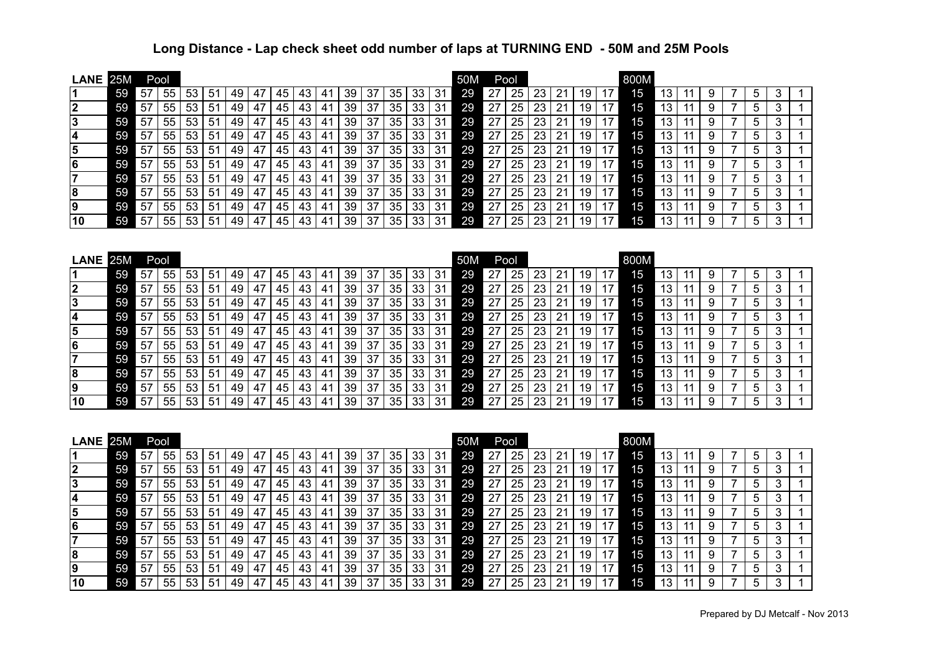## **Long Distance - Lap check sheet odd number of laps at TURNING END - 50M and 25M Pools**

| <b>LANE</b>                                             | 25M |                 | Pool            |    |                 |    |    |    |    |                 |    |                 |                 |                 | 50M             | Pool |                 |                 |                 |                 |                 | 800M |      |                 |                 |                |                |                |                |              |  |
|---------------------------------------------------------|-----|-----------------|-----------------|----|-----------------|----|----|----|----|-----------------|----|-----------------|-----------------|-----------------|-----------------|------|-----------------|-----------------|-----------------|-----------------|-----------------|------|------|-----------------|-----------------|----------------|----------------|----------------|----------------|--------------|--|
| $\vert$ 1                                               | 59  | 57              | 55              | 53 | 51              | 49 | 47 | 45 | 43 | 41              | 39 | 37              | 35              | 33              | 31              | 29   | 27              | 25              | 23              | 21              | 19              | 17   | 15   | 13              | 11              | 9              | 7              | 5              | 3              | 1            |  |
|                                                         | 59  | 57              | 55              | 53 | 51              | 49 | 47 | 45 | 43 | 41              | 39 | 37              | 35              | 33              | 31              | 29   | 27              | 25              | 23              | 21              | 19              | 17   | 15   | 13              | 11              | 9              | $\overline{7}$ | 5              | 3              | 1            |  |
|                                                         | 59  | 57              | 55              | 53 | 51              | 49 | 47 | 45 | 43 | 41              | 39 | 37              | 35              | 33              | 31              | 29   | 27              | 25              | 23              | 21              | 19              | 17   | 15   | 13              | 11              | 9              | 7              | 5              | 3              | 1            |  |
|                                                         | 59  | 57              | 55              | 53 | 51              | 49 | 47 | 45 | 43 | 41              | 39 | 37              | 35              | 33              | 31              | 29   | 27              | 25              | 23              | 21              | 19              | 17   | 15   | 13              | 11              | 9              | 7              | 5              | 3              | $\mathbf 1$  |  |
| $\frac{2}{3}$ $\frac{3}{4}$ $\frac{4}{5}$ $\frac{6}{7}$ | 59  | 57              | 55              | 53 | 51              | 49 | 47 | 45 | 43 | 41              | 39 | 37              | 35              | 33              | 31              | 29   | 27              | 25              | 23              | 21              | 19              | 17   | 15   | 13              | 11              | 9              | 7              | 5              | 3              | 1            |  |
|                                                         | 59  | 57              | 55              | 53 | 51              | 49 | 47 | 45 | 43 | 41              | 39 | 37              | 35              | 33              | 31              | 29   | 27              | 25              | 23              | 21              | 19              | 17   | 15   | 13              | 11              | 9              | 7              | 5              | 3              | $\mathbf 1$  |  |
|                                                         | 59  | 57              | 55              | 53 | 51              | 49 | 47 | 45 | 43 | 41              | 39 | 37              | 35              | 33              | 31              | 29   | 27              | 25              | 23              | 21              | 19              | 17   | 15   | 13              | 11              | 9              | $\overline{7}$ | 5              | 3              | 1            |  |
| $\overline{8}$                                          | 59  | 57              | 55              | 53 | 51              | 49 | 47 | 45 | 43 | 41              | 39 | 37              | 35              | 33              | 31              | 29   | 27              | 25              | 23              | 21              | 19              | 17   | 15   | 13              | 11              | 9              | 7              | 5              | 3              | $\mathbf{1}$ |  |
| $\overline{9}$                                          | 59  | 57              | 55              | 53 | 51              | 49 | 47 | 45 | 43 | 41              | 39 | 37              | 35              | 33              | 31              | 29   | 27              | 25              | 23              | 21              | 19              | 17   | 15   | 13              | 11              | 9              | 7              | 5              | 3              | $\mathbf{1}$ |  |
| $\overline{10}$                                         | 59  | 57              | 55              | 53 | 51              | 49 | 47 | 45 | 43 | 41              | 39 | 37              | 35              | 33              | 31              | 29   | 27              | 25              | 23              | 21              | 19              | 17   | 15   | 13              | 11              | 9              | 7              | 5              | 3              | 1            |  |
| <b>LANE</b>                                             | 25M | Pool            |                 |    |                 |    |    |    |    |                 |    |                 |                 |                 |                 | 50M  |                 | Pool            |                 |                 |                 |      | 800M |                 |                 |                |                |                |                |              |  |
| 1                                                       | 59  | 57              | 55              | 53 | 51              | 49 | 47 | 45 | 43 | 41              | 39 | 37              | 35              | 33              | 31              | 29   | 27              | 25              | 23              | 21              | 19              | 17   | 15   | 13              | 11              | 9              | $\overline{7}$ | 5              | 3              | 1            |  |
|                                                         | 59  | 57              | 55              | 53 | 51              | 49 | 47 | 45 | 43 | 41              | 39 | 37              | 35              | 33              | 31              | 29   | 27              | 25              | 23              | 21              | 19              | 17   | 15   | 13              | 11              | 9              | 7              | 5              | 3              | 1            |  |
| $\frac{2}{3}$ $\frac{3}{4}$ $\frac{4}{5}$ $\frac{6}{7}$ | 59  | 57              | 55              | 53 | 51              | 49 | 47 | 45 | 43 | 41              | 39 | 37              | 35              | 33              | 31              | 29   | 27              | 25              | 23              | 21              | 19              | 17   | 15   | 13              | 11              | 9              | 7              | 5              | 3              | $\mathbf 1$  |  |
|                                                         | 59  | 57              | 55              | 53 | 51              | 49 | 47 | 45 | 43 | 41              | 39 | 37              | 35              | 33              | 31              | 29   | 27              | 25              | 23              | 21              | 19              | 17   | 15   | 13              | 11              | 9              | 7              | 5              | 3              | $\mathbf 1$  |  |
|                                                         | 59  | 57              | 55              | 53 | 51              | 49 | 47 | 45 | 43 | 41              | 39 | 37              | 35              | 33              | 31              | 29   | 27              | 25              | 23              | 21              | 19              | 17   | 15   | 13              | 11              | 9              | 7              | 5              | 3              | $\mathbf{1}$ |  |
|                                                         | 59  | 57              | 55              | 53 | 51              | 49 | 47 | 45 | 43 | 41              | 39 | 37              | 35              | 33              | 31              | 29   | 27              | 25              | 23              | 21              | 19              | 17   | 15   | 13              | 11              | 9              | 7              | 5              | 3              | $\mathbf 1$  |  |
|                                                         | 59  | 57              | 55              | 53 | 51              | 49 | 47 | 45 | 43 | 41              | 39 | 37              | 35              | 33              | 31              | 29   | 27              | 25              | 23              | 21              | 19              | 17   | 15   | 13              | 11              | 9              | 7              | 5              | 3              | $\mathbf{1}$ |  |
| $ \overline{\mathbf{8}} $                               | 59  | 57              | 55              | 53 | 51              | 49 | 47 | 45 | 43 | 41              | 39 | 37              | 35              | 33              | 31              | 29   | 27              | 25              | 23              | 21              | 19              | 17   | 15   | 13              | 11              | 9              | 7              | 5              | 3              | 1            |  |
| $\frac{9}{10}$                                          | 59  | 57              | 55              | 53 | 51              | 49 | 47 | 45 | 43 | 41              | 39 | 37              | 35              | 33              | 31              | 29   | 27              | 25              | 23              | 21              | 19              | 17   | 15   | 13              | 11              | 9              | 7              | 5              | 3              | 1            |  |
|                                                         | 59  | 57              | 55              | 53 | 51              | 49 | 47 | 45 | 43 | 41              | 39 | 37              | 35              | 33              | 31              | 29   | 27              | 25              | 23              | 21              | 19              | 17   | 15   | 13              | 11              | 9              |                | 5              | 3              | $\mathbf{1}$ |  |
| <b>LANE</b>                                             | 25M | Pool            |                 |    |                 |    |    |    |    |                 |    |                 |                 |                 |                 | 50M  |                 | Pool            |                 |                 |                 |      | 800M |                 |                 |                |                |                |                |              |  |
| 1                                                       | 59  | 57              | 55              | 53 | 51              | 49 | 47 | 45 | 43 | 41              | 39 | 37              | 35              | 33              | 31              | 29   | 27              | 25              | 23              | 21              | 19              | 17   | 15   | 13              | 11              | 9              | 7              | 5              | 3              | 1            |  |
|                                                         | 59  | 57              | 55              | 53 | 51              | 49 | 47 | 45 | 43 | 41              | 39 | 37              | 35              | 33              | 31              | 29   | 27              | 25              | 23              | 21              | 19              | 17   | 15   | 13              | 11              | 9              | 7              | 5              | 3              | 1            |  |
|                                                         | 59  | 57              | 55              | 53 | 51              | 49 | 47 | 45 | 43 | 41              | 39 | 37              | 35              | 33              | 31              | 29   | 27              | 25              | 23              | 21              | 19              | 17   | 15   | 13              | 11              | 9              | 7              | 5              | 3              | $\mathbf 1$  |  |
| $\frac{2}{3}$<br>$\frac{3}{4}$<br>$\frac{4}{5}$         | 59  | 57              | 55              | 53 | 51              | 49 | 47 | 45 | 43 | 41              | 39 | 37              | 35              | 33              | 31              | 29   | 27              | 25              | 23              | 21              | 19              | 17   | 15   | 13              | 11              | 9              | 7              | 5              | 3              | 1            |  |
|                                                         | 59  | 57              | 55              | 53 | 51              | 49 | 47 | 45 | 43 | 41              | 39 | 37              | 35              | 33              | 31              | 29   | 27              | 25              | 23              | 21              | 19              | 17   | 15   | 13              | 11              | 9              | 7              | 5              | 3              | $\mathbf{1}$ |  |
| $\frac{6}{7}$                                           | 59  | 57              | 55              | 53 | 51              | 49 | 47 | 45 | 43 | 41              | 39 | 37              | 35              | 33              | 31              | 29   | 27              | 25              | 23              | 21              | 19              | 17   | 15   | 13              | 11              | 9              | $\overline{7}$ | 5              | 3              | $\mathbf{1}$ |  |
|                                                         | 59  | 57              | 55              | 53 | 51              | 49 | 47 | 45 | 43 | 41              | 39 | 37              | 35              | 33              | 31              | 29   | 27              | 25              | 23              | 21              | 19              | 17   | 15   | 13              | 11              | 9              | 7              | 5              | 3              | 1            |  |
| $ \overline{\mathbf{8}} $                               | 59  | 57              | 55              | 53 | 51              | 49 | 47 | 45 | 43 | 41              | 39 | 37              | 35              | 33              | 31              | 29   | 27              | 25              | 23              | 21              | 19              | 17   | 15   | 13              | 11              | 9              | 7              | 5              | 3              | 1            |  |
| $\frac{9}{10}$                                          | 59  | 57              | 55              | 53 | 51              | 49 | 47 | 45 | 43 | 41              | 39 | 37              | 35              | 33              | 31              | 29   | 27              | 25              | 23              | 21              | 19              | 17   | 15   | 13              | 11              | 9              | 7              | 5              | 3              | 1            |  |
|                                                         | 59  | $\overline{57}$ | $\overline{55}$ | 53 | $\overline{51}$ | 49 | 47 | 45 | 43 | $\overline{41}$ | 39 | $\overline{37}$ | $\overline{35}$ | $\overline{33}$ | $\overline{31}$ | 29   | $\overline{27}$ | $\overline{25}$ | $\overline{23}$ | $\overline{21}$ | $\overline{19}$ | 17   | 15   | $\overline{13}$ | $\overline{11}$ | $\overline{9}$ | $\overline{7}$ | $\overline{5}$ | $\overline{3}$ | $\mathbf{1}$ |  |